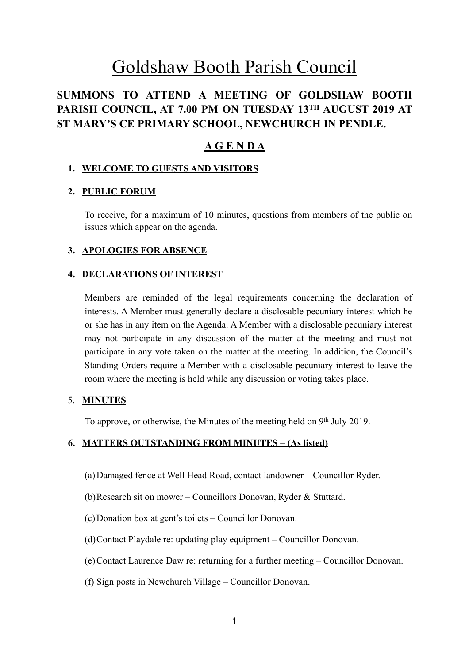# Goldshaw Booth Parish Council

# **SUMMONS TO ATTEND A MEETING OF GOLDSHAW BOOTH PARISH COUNCIL, AT 7.00 PM ON TUESDAY 13TH AUGUST 2019 AT ST MARY'S CE PRIMARY SCHOOL, NEWCHURCH IN PENDLE.**

# **A G E N D A**

# **1. WELCOME TO GUESTS AND VISITORS**

# **2. PUBLIC FORUM**

To receive, for a maximum of 10 minutes, questions from members of the public on issues which appear on the agenda.

# **3. APOLOGIES FOR ABSENCE**

#### **4. DECLARATIONS OF INTEREST**

Members are reminded of the legal requirements concerning the declaration of interests. A Member must generally declare a disclosable pecuniary interest which he or she has in any item on the Agenda. A Member with a disclosable pecuniary interest may not participate in any discussion of the matter at the meeting and must not participate in any vote taken on the matter at the meeting. In addition, the Council's Standing Orders require a Member with a disclosable pecuniary interest to leave the room where the meeting is held while any discussion or voting takes place.

#### 5. **MINUTES**

To approve, or otherwise, the Minutes of the meeting held on 9<sup>th</sup> July 2019.

#### **6. MATTERS OUTSTANDING FROM MINUTES – (As listed)**

- (a)Damaged fence at Well Head Road, contact landowner Councillor Ryder.
- (b)Research sit on mower Councillors Donovan, Ryder & Stuttard.
- (c)Donation box at gent's toilets Councillor Donovan.
- (d)Contact Playdale re: updating play equipment Councillor Donovan.
- (e)Contact Laurence Daw re: returning for a further meeting Councillor Donovan.
- (f) Sign posts in Newchurch Village Councillor Donovan.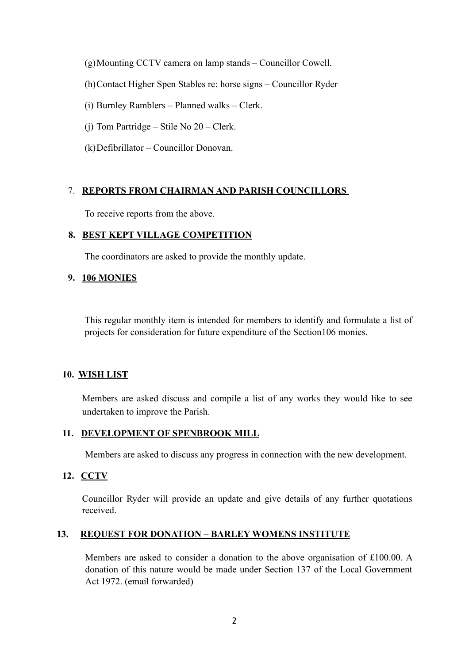(g)Mounting CCTV camera on lamp stands – Councillor Cowell.

- (h)Contact Higher Spen Stables re: horse signs Councillor Ryder
- (i) Burnley Ramblers Planned walks Clerk.
- (j) Tom Partridge Stile No 20 Clerk.
- (k)Defibrillator Councillor Donovan.

# 7. **REPORTS FROM CHAIRMAN AND PARISH COUNCILLORS**

To receive reports from the above.

#### **8. BEST KEPT VILLAGE COMPETITION**

The coordinators are asked to provide the monthly update.

#### **9. 106 MONIES**

This regular monthly item is intended for members to identify and formulate a list of projects for consideration for future expenditure of the Section106 monies.

# **10. WISH LIST**

Members are asked discuss and compile a list of any works they would like to see undertaken to improve the Parish.

#### **11. DEVELOPMENT OF SPENBROOK MILL**

Members are asked to discuss any progress in connection with the new development.

# **12. CCTV**

Councillor Ryder will provide an update and give details of any further quotations received.

# **13. REQUEST FOR DONATION – BARLEY WOMENS INSTITUTE**

Members are asked to consider a donation to the above organisation of £100.00. A donation of this nature would be made under Section 137 of the Local Government Act 1972. (email forwarded)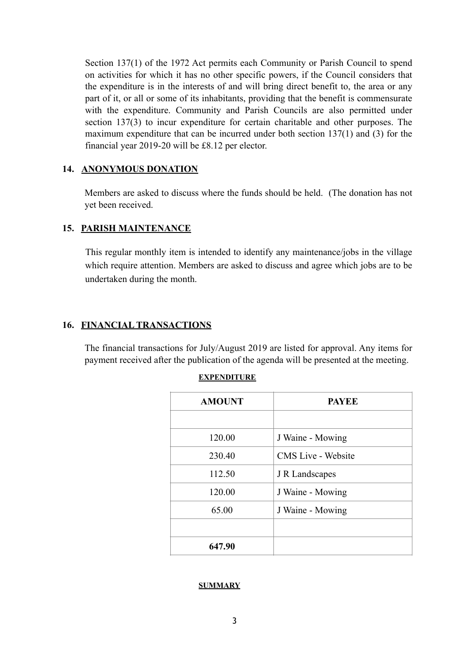Section 137(1) of the 1972 Act permits each Community or Parish Council to spend on activities for which it has no other specific powers, if the Council considers that the expenditure is in the interests of and will bring direct benefit to, the area or any part of it, or all or some of its inhabitants, providing that the benefit is commensurate with the expenditure. Community and Parish Councils are also permitted under section 137(3) to incur expenditure for certain charitable and other purposes. The maximum expenditure that can be incurred under both section 137(1) and (3) for the financial year 2019-20 will be £8.12 per elector.

# **14. ANONYMOUS DONATION**

Members are asked to discuss where the funds should be held. (The donation has not yet been received.

#### **15. PARISH MAINTENANCE**

This regular monthly item is intended to identify any maintenance/jobs in the village which require attention. Members are asked to discuss and agree which jobs are to be undertaken during the month.

#### **16. FINANCIAL TRANSACTIONS**

The financial transactions for July/August 2019 are listed for approval. Any items for payment received after the publication of the agenda will be presented at the meeting.

| EXPENDITURE |
|-------------|
|-------------|

| <b>AMOUNT</b> | <b>PAYEE</b>              |
|---------------|---------------------------|
|               |                           |
| 120.00        | J Waine - Mowing          |
| 230.40        | <b>CMS</b> Live - Website |
| 112.50        | J R Landscapes            |
| 120.00        | J Waine - Mowing          |
| 65.00         | J Waine - Mowing          |
|               |                           |
| 647.90        |                           |

#### **SUMMARY**